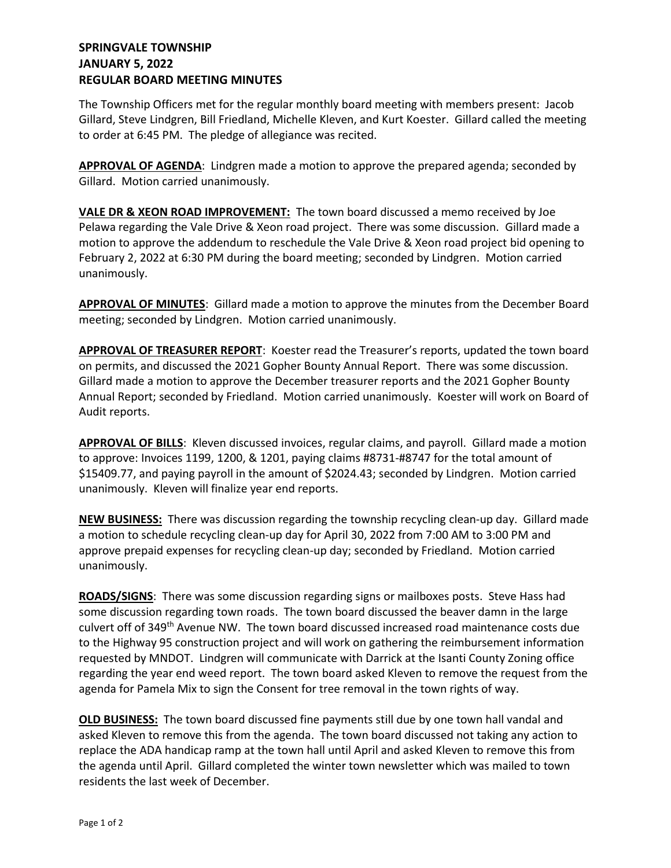## **SPRINGVALE TOWNSHIP JANUARY 5, 2022 REGULAR BOARD MEETING MINUTES**

The Township Officers met for the regular monthly board meeting with members present: Jacob Gillard, Steve Lindgren, Bill Friedland, Michelle Kleven, and Kurt Koester. Gillard called the meeting to order at 6:45 PM. The pledge of allegiance was recited.

**APPROVAL OF AGENDA**: Lindgren made a motion to approve the prepared agenda; seconded by Gillard. Motion carried unanimously.

**VALE DR & XEON ROAD IMPROVEMENT:** The town board discussed a memo received by Joe Pelawa regarding the Vale Drive & Xeon road project. There was some discussion. Gillard made a motion to approve the addendum to reschedule the Vale Drive & Xeon road project bid opening to February 2, 2022 at 6:30 PM during the board meeting; seconded by Lindgren. Motion carried unanimously.

**APPROVAL OF MINUTES**: Gillard made a motion to approve the minutes from the December Board meeting; seconded by Lindgren. Motion carried unanimously.

**APPROVAL OF TREASURER REPORT**: Koester read the Treasurer's reports, updated the town board on permits, and discussed the 2021 Gopher Bounty Annual Report. There was some discussion. Gillard made a motion to approve the December treasurer reports and the 2021 Gopher Bounty Annual Report; seconded by Friedland. Motion carried unanimously. Koester will work on Board of Audit reports.

**APPROVAL OF BILLS**: Kleven discussed invoices, regular claims, and payroll. Gillard made a motion to approve: Invoices 1199, 1200, & 1201, paying claims #8731-#8747 for the total amount of \$15409.77, and paying payroll in the amount of \$2024.43; seconded by Lindgren. Motion carried unanimously. Kleven will finalize year end reports.

**NEW BUSINESS:** There was discussion regarding the township recycling clean-up day. Gillard made a motion to schedule recycling clean-up day for April 30, 2022 from 7:00 AM to 3:00 PM and approve prepaid expenses for recycling clean-up day; seconded by Friedland. Motion carried unanimously.

**ROADS/SIGNS**: There was some discussion regarding signs or mailboxes posts. Steve Hass had some discussion regarding town roads. The town board discussed the beaver damn in the large culvert off of 349<sup>th</sup> Avenue NW. The town board discussed increased road maintenance costs due to the Highway 95 construction project and will work on gathering the reimbursement information requested by MNDOT. Lindgren will communicate with Darrick at the Isanti County Zoning office regarding the year end weed report. The town board asked Kleven to remove the request from the agenda for Pamela Mix to sign the Consent for tree removal in the town rights of way.

**OLD BUSINESS:** The town board discussed fine payments still due by one town hall vandal and asked Kleven to remove this from the agenda. The town board discussed not taking any action to replace the ADA handicap ramp at the town hall until April and asked Kleven to remove this from the agenda until April. Gillard completed the winter town newsletter which was mailed to town residents the last week of December.